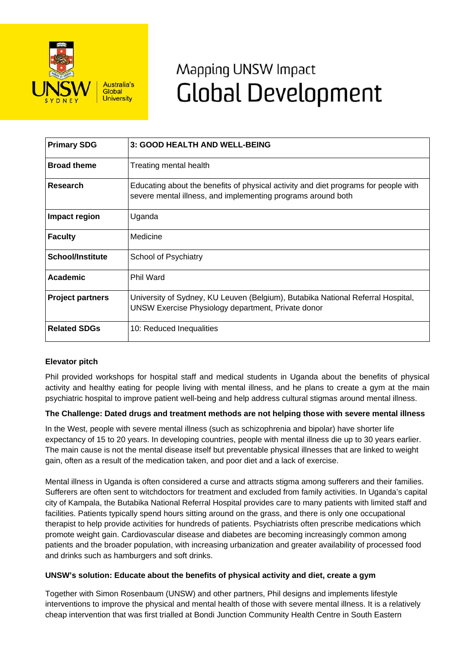

# Mapping UNSW Impact **Global Development**

| <b>Primary SDG</b>      | 3: GOOD HEALTH AND WELL-BEING                                                                                                                       |
|-------------------------|-----------------------------------------------------------------------------------------------------------------------------------------------------|
| <b>Broad theme</b>      | Treating mental health                                                                                                                              |
| Research                | Educating about the benefits of physical activity and diet programs for people with<br>severe mental illness, and implementing programs around both |
| Impact region           | Uganda                                                                                                                                              |
| <b>Faculty</b>          | Medicine                                                                                                                                            |
| <b>School/Institute</b> | School of Psychiatry                                                                                                                                |
| <b>Academic</b>         | Phil Ward                                                                                                                                           |
| <b>Project partners</b> | University of Sydney, KU Leuven (Belgium), Butabika National Referral Hospital,<br>UNSW Exercise Physiology department, Private donor               |
| <b>Related SDGs</b>     | 10: Reduced Inequalities                                                                                                                            |

## **Elevator pitch**

Phil provided workshops for hospital staff and medical students in Uganda about the benefits of physical activity and healthy eating for people living with mental illness, and he plans to create a gym at the main psychiatric hospital to improve patient well-being and help address cultural stigmas around mental illness.

## **The Challenge: Dated drugs and treatment methods are not helping those with severe mental illness**

In the West, people with severe mental illness (such as schizophrenia and bipolar) have shorter life expectancy of 15 to 20 years. In developing countries, people with mental illness die up to 30 years earlier. The main cause is not the mental disease itself but preventable physical illnesses that are linked to weight gain, often as a result of the medication taken, and poor diet and a lack of exercise.

Mental illness in Uganda is often considered a curse and attracts stigma among sufferers and their families. Sufferers are often sent to witchdoctors for treatment and excluded from family activities. In Uganda's capital city of Kampala, the Butabika National Referral Hospital provides care to many patients with limited staff and facilities. Patients typically spend hours sitting around on the grass, and there is only one occupational therapist to help provide activities for hundreds of patients. Psychiatrists often prescribe medications which promote weight gain. Cardiovascular disease and diabetes are becoming increasingly common among patients and the broader population, with increasing urbanization and greater availability of processed food and drinks such as hamburgers and soft drinks.

### **UNSW's solution: Educate about the benefits of physical activity and diet, create a gym**

Together with Simon Rosenbaum (UNSW) and other partners, Phil designs and implements lifestyle interventions to improve the physical and mental health of those with severe mental illness. It is a relatively cheap intervention that was first trialled at Bondi Junction Community Health Centre in South Eastern